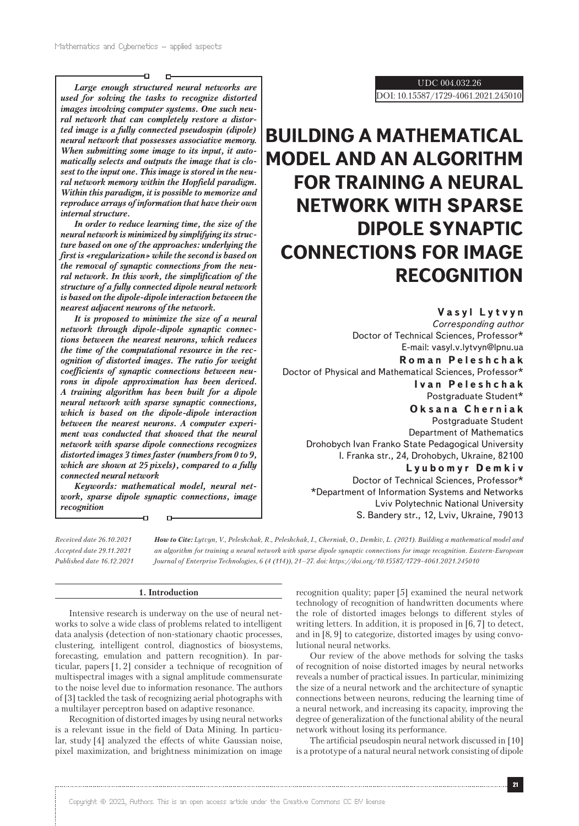5

D

*Large enough structured neural networks are used for solving the tasks to recognize distorted images involving computer systems. One such neural network that can completely restore a distorted image is a fully connected pseudospin (dipole) neural network that possesses associative memory. When submitting some image to its input, it automatically selects and outputs the image that is closest to the input one. This image is stored in the neural network memory within the Hopfield paradigm. Within this paradigm, it is possible to memorize and reproduce arrays of information that have their own internal structure.*

*In order to reduce learning time, the size of the neural network is minimized by simplifying its structure based on one of the approaches: underlying the first is «regularization» while the second is based on the removal of synaptic connections from the neural network. In this work, the simplification of the structure of a fully connected dipole neural network is based on the dipole-dipole interaction between the nearest adjacent neurons of the network.*

*It is proposed to minimize the size of a neural network through dipole-dipole synaptic connections between the nearest neurons, which reduces the time of the computational resource in the recognition of distorted images. The ratio for weight coefficients of synaptic connections between neurons in dipole approximation has been derived. A training algorithm has been built for a dipole neural network with sparse synaptic connections, which is based on the dipole-dipole interaction between the nearest neurons. A computer experiment was conducted that showed that the neural network with sparse dipole connections recognizes distorted images 3 times faster (numbers from 0 to 9, which are shown at 25 pixels), compared to a fully connected neural network*

*Keywords: mathematical model, neural network, sparse dipole synaptic connections, image recognition*

 $\mathbf{D}$ 

*Received date 26.10.2021 Accepted date 29.11.2021 Published date 16.12.2021* *How to Cite: Lytvyn, V., Peleshchak, R., Peleshchak, I., Cherniak, O., Demkiv, L. (2021). Building a mathematical model and an algorithm for training a neural network with sparse dipole synaptic connections for image recognition. Eastern-European Journal of Enterprise Technologies, 6 (4 (114)), 21–27. doi: https://doi.org/10.15587/1729-4061.2021.245010*

#### **1. Introduction**

Intensive research is underway on the use of neural networks to solve a wide class of problems related to intelligent data analysis (detection of non-stationary chaotic processes, clustering, intelligent control, diagnostics of biosystems, forecasting, emulation and pattern recognition). In particular, papers [1, 2] consider a technique of recognition of multispectral images with a signal amplitude commensurate to the noise level due to information resonance. The authors of [3] tackled the task of recognizing aerial photographs with a multilayer perceptron based on adaptive resonance.

Recognition of distorted images by using neural networks is a relevant issue in the field of Data Mining. In particular, study [4] analyzed the effects of white Gaussian noise, pixel maximization, and brightness minimization on image UDC 004.032.26

DOI: 10.15587/1729-4061.2021.245010

# **BUILDING A MATHEMATICAL MODEL AND AN ALGORITHM FOR TRAINING A NEURAL NETWORK WITH SPARSE DIPOLE SYNAPTIC CONNECTIONS FOR IMAGE RECOGNITION**

**Vasyl Lytvyn** *Corresponding author* Doctor of Technical Sciences, Professor\* E-mail: vasyl.v.lytvyn@lpnu.ua **Roman Peleshchak** Doctor of Physical and Mathematical Sciences, Professor\* **Ivan Peleshchak** Postgraduate Student\* **Oksana Cherniak** Postgraduate Student Department of Mathematics Drohobych Ivan Franko State Pedagogical University I. Franka str., 24, Drohobych, Ukraine, 82100 **Lyubomyr Demkiv** Doctor of Technical Sciences, Professor\* \*Department of Information Systems and Networks

Lviv Polytechnic National University S. Bandery str., 12, Lviv, Ukraine, 79013

recognition quality; paper [5] examined the neural network technology of recognition of handwritten documents where the role of distorted images belongs to different styles of writing letters. In addition, it is proposed in [6, 7] to detect, and in [8, 9] to categorize, distorted images by using convolutional neural networks.

Our review of the above methods for solving the tasks of recognition of noise distorted images by neural networks reveals a number of practical issues. In particular, minimizing the size of a neural network and the architecture of synaptic connections between neurons, reducing the learning time of a neural network, and increasing its capacity, improving the degree of generalization of the functional ability of the neural network without losing its performance.

The artificial pseudospin neural network discussed in [10] is a prototype of a natural neural network consisting of dipole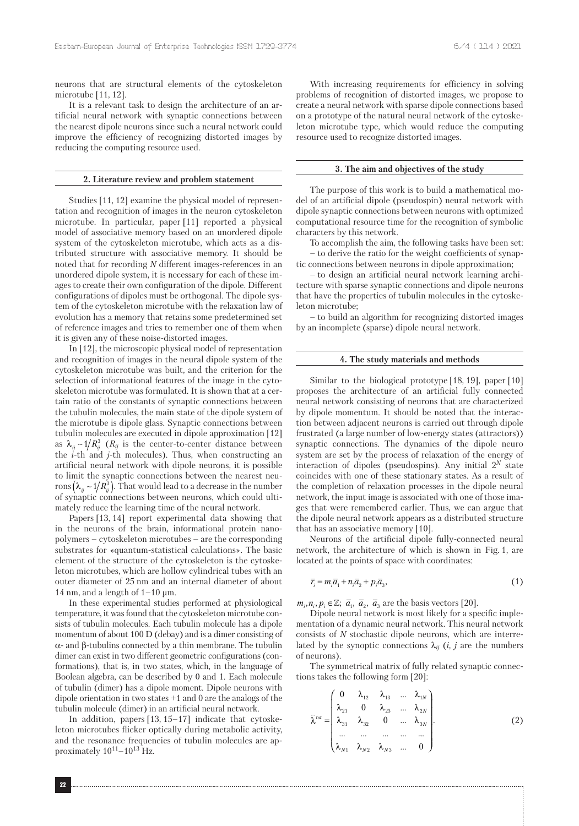neurons that are structural elements of the cytoskeleton microtube [11, 12].

It is a relevant task to design the architecture of an artificial neural network with synaptic connections between the nearest dipole neurons since such a neural network could improve the efficiency of recognizing distorted images by reducing the computing resource used.

#### **2. Literature review and problem statement**

Studies [11, 12] examine the physical model of representation and recognition of images in the neuron cytoskeleton microtube. In particular, paper [11] reported a physical model of associative memory based on an unordered dipole system of the cytoskeleton microtube, which acts as a distributed structure with associative memory. It should be noted that for recording *N* different images-references in an unordered dipole system, it is necessary for each of these images to create their own configuration of the dipole. Different configurations of dipoles must be orthogonal. The dipole system of the cytoskeleton microtube with the relaxation law of evolution has a memory that retains some predetermined set of reference images and tries to remember one of them when it is given any of these noise-distorted images.

In [12], the microscopic physical model of representation and recognition of images in the neural dipole system of the cytoskeleton microtube was built, and the criterion for the selection of informational features of the image in the cytoskeleton microtube was formulated. It is shown that at a certain ratio of the constants of synaptic connections between the tubulin molecules, the main state of the dipole system of the microtube is dipole glass. Synaptic connections between tubulin molecules are executed in dipole approximation [12] as  $\lambda_{ij}$  ∼ 1/ $R_{ij}^3$  ( $R_{ij}$  is the center-to-center distance between the *i*-th and *j*-th molecules). Thus, when constructing an artificial neural network with dipole neurons, it is possible to limit the synaptic connections between the nearest neurons  $(\lambda_{ii} \sim 1/R_{ii}^3)$ . That would lead to a decrease in the number of synaptic connections between neurons, which could ultimately reduce the learning time of the neural network.

Papers [13, 14] report experimental data showing that in the neurons of the brain, informational protein nanopolymers – cytoskeleton microtubes – are the corresponding substrates for «quantum-statistical calculations». The basic element of the structure of the cytoskeleton is the cytoskeleton microtubes, which are hollow cylindrical tubes with an outer diameter of 25 nm and an internal diameter of about 14 nm, and a length of  $1-10 \mu m$ .

In these experimental studies performed at physiological temperature, it was found that the cytoskeleton microtube consists of tubulin molecules. Each tubulin molecule has a dipole momentum of about 100 D (debay) and is a dimer consisting of α- and β-tubulins connected by a thin membrane. The tubulin dimer can exist in two different geometric configurations (conformations), that is, in two states, which, in the language of Boolean algebra, can be described by 0 and 1. Each molecule of tubulin (dimer) has a dipole moment. Dipole neurons with dipole orientation in two states +1 and 0 are the analogs of the tubulin molecule (dimer) in an artificial neural network.

In addition, papers [13, 15–17] indicate that cytoskeleton microtubes flicker optically during metabolic activity, and the resonance frequencies of tubulin molecules are approximately  $10^{11} - 10^{13}$  Hz.

With increasing requirements for efficiency in solving problems of recognition of distorted images, we propose to create a neural network with sparse dipole connections based on a prototype of the natural neural network of the cytoskeleton microtube type, which would reduce the computing resource used to recognize distorted images.

# **3. The aim and objectives of the study**

The purpose of this work is to build a mathematical model of an artificial dipole (pseudospin) neural network with dipole synaptic connections between neurons with optimized computational resource time for the recognition of symbolic characters by this network.

To accomplish the aim, the following tasks have been set: – to derive the ratio for the weight coefficients of synap-

tic connections between neurons in dipole approximation;

– to design an artificial neural network learning architecture with sparse synaptic connections and dipole neurons that have the properties of tubulin molecules in the cytoskeleton microtube;

– to build an algorithm for recognizing distorted images by an incomplete (sparse) dipole neural network.

#### **4. The study materials and methods**

Similar to the biological prototype [18, 19], paper [10] proposes the architecture of an artificial fully connected neural network consisting of neurons that are characterized by dipole momentum. It should be noted that the interaction between adjacent neurons is carried out through dipole frustrated (a large number of low-energy states (attractors)) synaptic connections. The dynamics of the dipole neuro system are set by the process of relaxation of the energy of interaction of dipoles (pseudospins). Any initial  $2^N$  state coincides with one of these stationary states. As a result of the completion of relaxation processes in the dipole neural network, the input image is associated with one of those images that were remembered earlier. Thus, we can argue that the dipole neural network appears as a distributed structure that has an associative memory [10].

Neurons of the artificial dipole fully-connected neural network, the architecture of which is shown in Fig. 1, are located at the points of space with coordinates:

$$
\overline{r_i} = m_i \overline{a}_1 + n_i \overline{a}_2 + p_i \overline{a}_3,\tag{1}
$$

 $m_i, n_i, p_i \in \mathbb{Z}$ ;  $\overline{a}_1$ ,  $\overline{a}_2$ ,  $\overline{a}_3$  are the basis vectors [20].

Dipole neural network is most likely for a specific implementation of a dynamic neural network. This neural network consists of *N* stochastic dipole neurons, which are interrelated by the synoptic connections  $\lambda_{ij}$  (*i*, *j* are the numbers of neurons).

The symmetrical matrix of fully related synaptic connections takes the following form [20]:

$$
\hat{\lambda}^{tot} = \begin{pmatrix}\n0 & \lambda_{12} & \lambda_{13} & \dots & \lambda_{1N} \\
\lambda_{21} & 0 & \lambda_{23} & \dots & \lambda_{2N} \\
\lambda_{31} & \lambda_{32} & 0 & \dots & \lambda_{3N} \\
\dots & \dots & \dots & \dots & \dots \\
\lambda_{N1} & \lambda_{N2} & \lambda_{N3} & \dots & 0\n\end{pmatrix} .
$$
\n(2)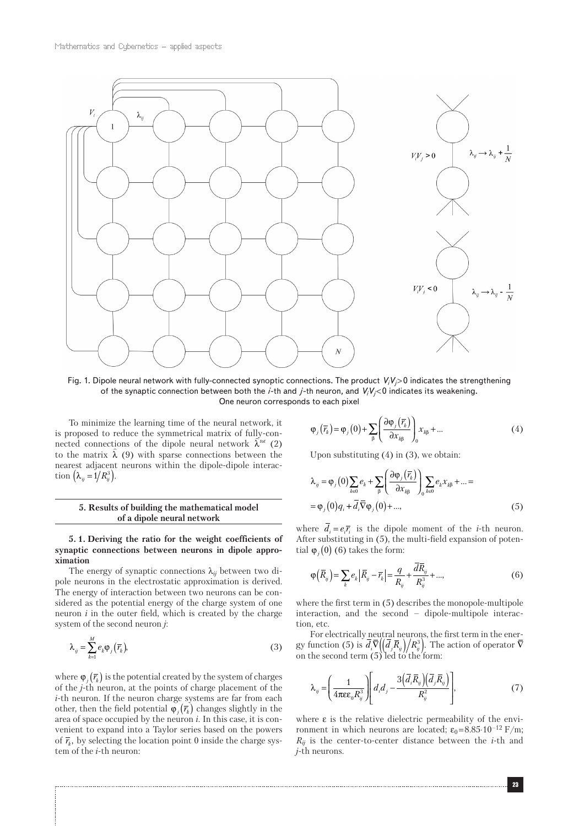

Fig. 1. Dipole neural network with fully-connected synoptic connections. The product *Vi Vj* > 0 indicates the strengthening of the synaptic connection between both the *i*-th and *j*-th neuron, and *Vi Vj* < 0 indicates its weakening. One neuron corresponds to each pixel

To minimize the learning time of the neural network, it is proposed to reduce the symmetrical matrix of fully-conis proposed to reduce the symmetrical matrix of funy-con-<br>nected connections of the dipole neural network  $\hat{\lambda}^{tot}$  (2) the connections of the dipole neural network  $\lambda$  (2)<br>to the matrix  $\hat{\lambda}$  (9) with sparse connections between the nearest adjacent neurons within the dipole-dipole interaction  $(\lambda_{ii} = 1/R_{ii}^3)$ .

# **5. Results of building the mathematical model of a dipole neural network**

**5. 1. Deriving the ratio for the weight coefficients of synaptic connections between neurons in dipole approximation**

The energy of synaptic connections λ*ij* between two dipole neurons in the electrostatic approximation is derived. The energy of interaction between two neurons can be considered as the potential energy of the charge system of one neuron *i* in the outer field, which is created by the charge system of the second neuron *j*:

$$
\lambda_{ij} = \sum_{k=1}^{M} e_k \varphi_j \left( \overline{r}_k \right),\tag{3}
$$

where  $\varphi_i(\bar{r}_k)$  is the potential created by the system of charges of the *j*-th neuron, at the points of charge placement of the *i*-th neuron. If the neuron charge systems are far from each other, then the field potential  $\varphi_i(\overline{r_k})$  changes slightly in the area of space occupied by the neuron *i*. In this case, it is convenient to expand into a Taylor series based on the powers of  $\bar{r}_k$ , by selecting the location point 0 inside the charge system of the *i*-th neuron:

$$
\varphi_j(\overline{r_k}) = \varphi_j(0) + \sum_{\beta} \left( \frac{\partial \varphi_j(\overline{r_k})}{\partial x_{\beta}} \right)_0 x_{\beta \beta} + \dots \tag{4}
$$

Upon substituting  $(4)$  in  $(3)$ , we obtain:

$$
\lambda_{ij} = \varphi_j(0) \sum_{k \in \mathbf{0}} e_k + \sum_{\beta} \left( \frac{\partial \varphi_j(\overline{r_k})}{\partial x_{k \beta}} \right)_0 \sum_{k \in \mathbf{0}} e_k x_{k \beta} + \dots =
$$
  
=  $\varphi_j(0) q_i + \overline{d}_i \overline{\nabla} \varphi_j(0) + \dots,$  (5)

where  $d_i = e_i \overline{r_i}$  is the dipole moment of the *i*-th neuron. After substituting in (5), the multi-field expansion of potential  $\varphi$ <sub>*j*</sub>(0) (6) takes the form:

$$
\varphi(\bar{R}_{ij}) = \sum_{k} e_k |\bar{R}_{ij} - \bar{r}_k| = \frac{q}{R_{ij}} + \frac{dR_{ij}}{R_{ij}^3} + ..., \qquad (6)
$$

where the first term in (5) describes the monopole-multipole interaction, and the second – dipole-multipole interaction, etc.

For electrically neutral neurons, the first term in the energy function (5) is  $d_i \overline{\nabla} \left( \left( d_j \overline{R}_i \right) / R_{ij}^3 \right)$ . The action of operator  $\overline{\nabla}$ on the second term  $(5)'$  led to the form:

$$
\lambda_{ij} = \left(\frac{1}{4\pi\epsilon\epsilon_0 R_{ij}^3}\right) \left[d_i d_j - \frac{3\left(\overline{d}_i \overline{R}_{ij}\right)\left(\overline{d}_j \overline{R}_{ij}\right)}{R_{ij}^2}\right],\tag{7}
$$

where  $\varepsilon$  is the relative dielectric permeability of the environment in which neurons are located;  $\varepsilon_0$ =8.85⋅10<sup>-12</sup> F/m;  $R_{ij}$  is the center-to-center distance between the *i*-th and *j*-th neurons.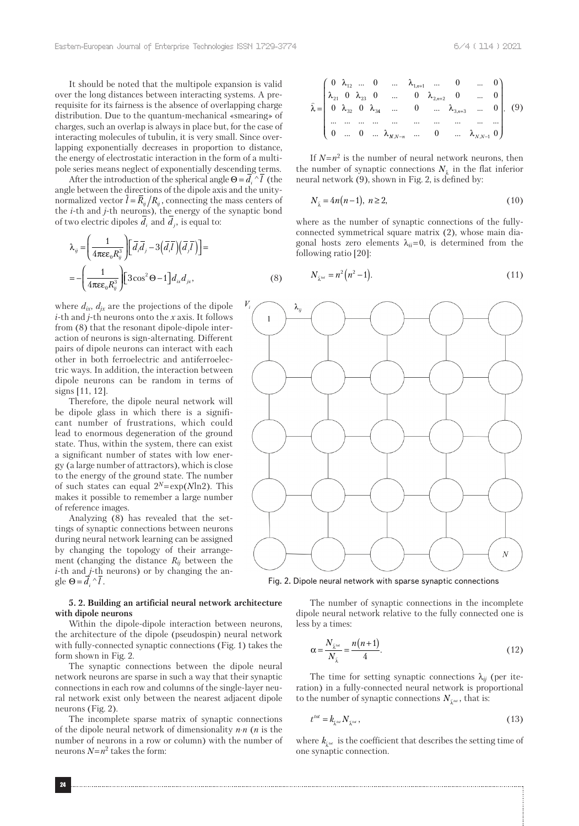It should be noted that the multipole expansion is valid over the long distances between interacting systems. A prerequisite for its fairness is the absence of overlapping charge distribution. Due to the quantum-mechanical «smearing» of charges, such an overlap is always in place but, for the case of interacting molecules of tubulin, it is very small. Since overlapping exponentially decreases in proportion to distance, the energy of electrostatic interaction in the form of a multipole series means neglect of exponentially descending terms.

After the introduction of the spherical angle  $\Theta = \overline{d_i} \wedge \overline{l}$  (the angle between the directions of the dipole axis and the unitynormalized vector  $\bar{l} = \bar{R}_{ij} / R_{ij}$ , connecting the mass centers of the *i*-th and *j*-th neurons), the energy of the synaptic bond of two electric dipoles  $d_i$  and  $d_j$ , is equal to:

$$
\lambda_{ij} = \left(\frac{1}{4\pi\epsilon\epsilon_0 R_{ij}^3}\right) \left[\bar{d}_i \bar{d}_j - 3\left(\bar{d}_i \bar{I}\right)\left(\bar{d}_j \bar{I}\right)\right] =
$$
\n
$$
= -\left(\frac{1}{4\pi\epsilon\epsilon_0 R_{ij}^3}\right) \left[3\cos^2\Theta - 1\right] d_{ix} d_{jx},\tag{8}
$$

where  $d_{ix}$ ,  $d_{jx}$  are the projections of the dipole *i*-th and *j*-th neurons onto the *x* axis. It follows from (8) that the resonant dipole-dipole interaction of neurons is sign-alternating. Different pairs of dipole neurons can interact with each other in both ferroelectric and antiferroelectric ways. In addition, the interaction between dipole neurons can be random in terms of signs [11, 12].

Therefore, the dipole neural network will be dipole glass in which there is a significant number of frustrations, which could lead to enormous degeneration of the ground state. Thus, within the system, there can exist a significant number of states with low energy (a large number of attractors), which is close to the energy of the ground state. The number of such states can equal 2*<sup>N</sup>* = exp(*N*ln2). This makes it possible to remember a large number of reference images.

Analyzing (8) has revealed that the settings of synaptic connections between neurons during neural network learning can be assigned by changing the topology of their arrangement (changing the distance  $R_{ij}$  between the *i*-th and *j*-th neurons) or by changing the angle  $\Theta = \overline{d}_i^{\prime} \wedge \overline{l}$ .

## **5. 2. Building an artificial neural network architecture with dipole neurons**

Within the dipole-dipole interaction between neurons, the architecture of the dipole (pseudospin) neural network with fully-connected synaptic connections (Fig. 1) takes the form shown in Fig. 2.

The synaptic connections between the dipole neural network neurons are sparse in such a way that their synaptic connections in each row and columns of the single-layer neural network exist only between the nearest adjacent dipole neurons (Fig. 2).

The incomplete sparse matrix of synaptic connections of the dipole neural network of dimensionality *n*⋅*n* (*n* is the number of neurons in a row or column) with the number of neurons  $N = n^2$  takes the form:

$$
\hat{\lambda} = \begin{pmatrix}\n0 & \lambda_{12} & \dots & 0 & \dots & \lambda_{1,n+1} & \dots & 0 & \dots & 0 \\
\lambda_{21} & 0 & \lambda_{23} & 0 & \dots & 0 & \lambda_{2,n+2} & 0 & \dots & 0 \\
0 & \lambda_{32} & 0 & \lambda_{34} & \dots & 0 & \dots & \lambda_{3,n+3} & \dots & 0 \\
\vdots & \vdots & \vdots & \vdots & \vdots & \vdots & \vdots & \vdots & \vdots \\
0 & \dots & 0 & \dots & \lambda_{N,N-n} & \dots & 0 & \dots & \lambda_{N,N-1} & 0\n\end{pmatrix}.
$$
\n(9)

If  $N=n^2$  is the number of neural network neurons, then the number of synaptic connections  $N_{\hat{\lambda}}$  in the flat inferior neural network (9), shown in Fig. 2, is defined by:

$$
N_{\tilde{\lambda}} = 4n(n-1), \ n \ge 2,\tag{10}
$$

where as the number of synaptic connections of the fullyconnected symmetrical square matrix (2), whose main diagonal hosts zero elements  $\lambda_{ii} = 0$ , is determined from the following ratio [20]:

$$
N_{\hat{\lambda}^{\omega t}} = n^2 \left( n^2 - 1 \right). \tag{11}
$$



Fig. 2. Dipole neural network with sparse synaptic connections

The number of synaptic connections in the incomplete dipole neural network relative to the fully connected one is less by a times:

$$
\alpha = \frac{N_{\tilde{\lambda}^{tot}}}{N_{\tilde{\lambda}}} = \frac{n(n+1)}{4}.
$$
\n(12)

The time for setting synaptic connections  $\lambda_{ij}$  (per iteration) in a fully-connected neural network is proportional to the number of synaptic connections  $N_{\hat{\lambda}^{\omega t}}$ , that is:

$$
t^{tot} = k_{\hat{\lambda}^{tot}} N_{\hat{\lambda}^{tot}},\tag{13}
$$

where  $k_{\hat{\lambda}^{tot}}$  is the coefficient that describes the setting time of one synaptic connection.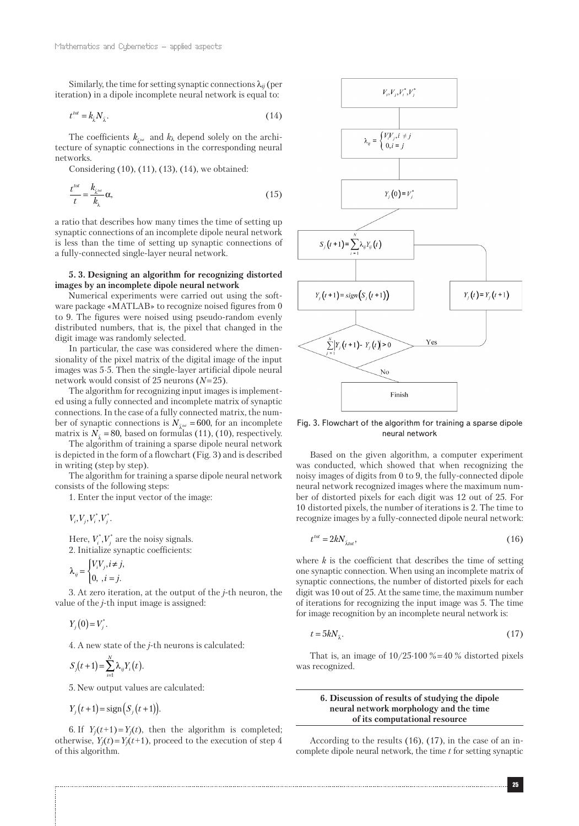Similarly, the time for setting synaptic connections  $\lambda_{ij}$  (per iteration) in a dipole incomplete neural network is equal to:

$$
t^{tot} = k_{\hat{\lambda}} N_{\hat{\lambda}}.\tag{14}
$$

The coefficients  $k_{\hat{\lambda}^{tot}}$  and  $k_{\lambda}$  depend solely on the architecture of synaptic connections in the corresponding neural networks.

Considering (10), (11), (13), (14), we obtained:

$$
\frac{t^{tot}}{t} = \frac{k_{\tilde{\lambda}^{tot}}}{k_{\lambda}} \alpha,\tag{15}
$$

a ratio that describes how many times the time of setting up synaptic connections of an incomplete dipole neural network is less than the time of setting up synaptic connections of a fully-connected single-layer neural network.

# **5. 3. Designing an algorithm for recognizing distorted images by an incomplete dipole neural network**

Numerical experiments were carried out using the software package «MATLAB» to recognize noised figures from 0 to 9. The figures were noised using pseudo-random evenly distributed numbers, that is, the pixel that changed in the digit image was randomly selected.

In particular, the case was considered where the dimensionality of the pixel matrix of the digital image of the input images was 5⋅5. Then the single-layer artificial dipole neural network would consist of 25 neurons (*N* = 25).

The algorithm for recognizing input images is implemented using a fully connected and incomplete matrix of synaptic connections. In the case of a fully connected matrix, the number of synaptic connections is  $N_{\tilde{\lambda}^{tot}} = 600$ , for an incomplete matrix is  $N_{\tilde{\lambda}} = 80$ , based on formulas (11), (10), respectively.

The algorithm of training a sparse dipole neural network is depicted in the form of a flowchart (Fig. 3) and is described in writing (step by step).

The algorithm for training a sparse dipole neural network consists of the following steps:

1. Enter the input vector of the image:

 $V_i, V_j, V_i^*, V_j^*.$ 

Here,  $V_i^*$ ,  $V_j^*$  are the noisy signals. 2. Initialize synaptic coefficients:

$$
\lambda_{ij} = \begin{cases} V_i V_j, i \neq j, \\ 0, i = j. \end{cases}
$$

3. At zero iteration, at the output of the *j*-th neuron, the value of the *j*-th input image is assigned:

 $Y_j(0) = V_j^*$ .

4. A new state of the *j*-th neurons is calculated:

$$
S_j(t+1) = \sum_{i=1}^N \lambda_{ij} Y_i(t).
$$

5. New output values are calculated:

$$
Y_i(t+1) = \text{sign}(S_i(t+1)).
$$

6. If  $Y_i(t+1) = Y_i(t)$ , then the algorithm is completed; otherwise,  $Y_i(t) = Y_i(t+1)$ , proceed to the execution of step 4 of this algorithm.



Fig. 3. Flowchart of the algorithm for training a sparse dipole neural network

Based on the given algorithm, a computer experiment was conducted, which showed that when recognizing the noisy images of digits from 0 to 9, the fully-connected dipole neural network recognized images where the maximum number of distorted pixels for each digit was 12 out of 25. For 10 distorted pixels, the number of iterations is 2. The time to recognize images by a fully-connected dipole neural network:

$$
t^{tot} = 2kN_{\hat{\lambda}tot},\tag{16}
$$

where *k* is the coefficient that describes the time of setting one synaptic connection. When using an incomplete matrix of synaptic connections, the number of distorted pixels for each digit was 10 out of 25. At the same time, the maximum number of iterations for recognizing the input image was 5. The time for image recognition by an incomplete neural network is:

$$
t = 5kN_{\hat{\lambda}}.\tag{17}
$$

That is, an image of  $10/25.100\% = 40\%$  distorted pixels was recognized.

# **6. Discussion of results of studying the dipole neural network morphology and the time of its computational resource**

According to the results (16), (17), in the case of an incomplete dipole neural network, the time *t* for setting synaptic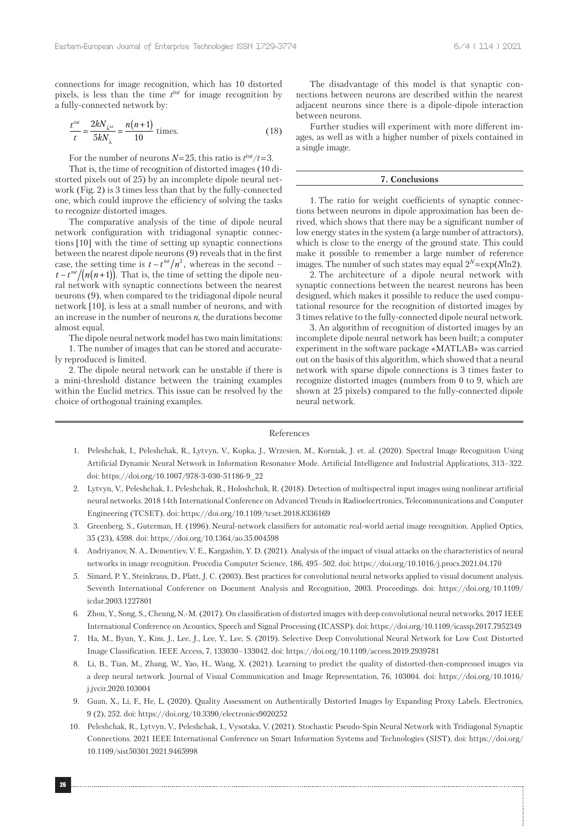connections for image recognition, which has 10 distorted pixels, is less than the time *t tot* for image recognition by a fully-connected network by:

$$
\frac{t^{tot}}{t} = \frac{2kN_{\tilde{\lambda}^{tot}}}{5kN_{\tilde{\lambda}}} = \frac{n(n+1)}{10}
$$
 times. (18)

For the number of neurons  $N=25$ , this ratio is  $t^{tot}/t=3$ .

That is, the time of recognition of distorted images (10 distorted pixels out of 25) by an incomplete dipole neural network (Fig. 2) is 3 times less than that by the fully-connected one, which could improve the efficiency of solving the tasks to recognize distorted images.

The comparative analysis of the time of dipole neural network configuration with tridiagonal synaptic connections [10] with the time of setting up synaptic connections between the nearest dipole neurons (9) reveals that in the first case, the setting time is  $t \sim t^{tot}/n^2$ , whereas in the second –  $t \sim t^{tot}/(n(n+1))$ . That is, the time of setting the dipole neural network with synaptic connections between the nearest neurons (9), when compared to the tridiagonal dipole neural network [10], is less at a small number of neurons, and with an increase in the number of neurons *n*, the durations become almost equal.

The dipole neural network model has two main limitations: 1. The number of images that can be stored and accurately reproduced is limited.

2. The dipole neural network can be unstable if there is a mini-threshold distance between the training examples within the Euclid metrics. This issue can be resolved by the choice of orthogonal training examples.

The disadvantage of this model is that synaptic connections between neurons are described within the nearest adjacent neurons since there is a dipole-dipole interaction between neurons.

Further studies will experiment with more different images, as well as with a higher number of pixels contained in a single image.

# **7. Conclusions**

1. The ratio for weight coefficients of synaptic connections between neurons in dipole approximation has been derived, which shows that there may be a significant number of low energy states in the system (a large number of attractors), which is close to the energy of the ground state. This could make it possible to remember a large number of reference images. The number of such states may equal 2*<sup>N</sup>* = exp(*N*ln2).

2. The architecture of a dipole neural network with synaptic connections between the nearest neurons has been designed, which makes it possible to reduce the used computational resource for the recognition of distorted images by 3 times relative to the fully-connected dipole neural network.

3. An algorithm of recognition of distorted images by an incomplete dipole neural network has been built; a computer experiment in the software package «MATLAB» was carried out on the basis of this algorithm, which showed that a neural network with sparse dipole connections is 3 times faster to recognize distorted images (numbers from 0 to 9, which are shown at 25 pixels) compared to the fully-connected dipole neural network.

#### References

- 1. Peleshchak, I., Peleshchak, R., Lytvyn, V., Kopka, J., Wrzesien, M., Korniak, J. et. al. (2020). Spectral Image Recognition Using Artificial Dynamic Neural Network in Information Resonance Mode. Artificial Intelligence and Industrial Applications, 313–322. doi: https://doi.org/10.1007/978-3-030-51186-9\_22
- 2. Lytvyn, V., Peleshchak, I., Peleshchak, R., Holoshchuk, R. (2018). Detection of multispectral input images using nonlinear artificial neural networks. 2018 14th International Conference on Advanced Trends in Radioelecrtronics, Telecommunications and Computer Engineering (TCSET). doi: https://doi.org/10.1109/tcset.2018.8336169
- 3. Greenberg, S., Guterman, H. (1996). Neural-network classifiers for automatic real-world aerial image recognition. Applied Optics, 35 (23), 4598. doi: https://doi.org/10.1364/ao.35.004598
- 4. Andriyanov, N. A., Dementiev, V. E., Kargashin, Y. D. (2021). Analysis of the impact of visual attacks on the characteristics of neural networks in image recognition. Procedia Computer Science, 186, 495–502. doi: https://doi.org/10.1016/j.procs.2021.04.170
- 5. Simard, P. Y., Steinkraus, D., Platt, J. C. (2003). Best practices for convolutional neural networks applied to visual document analysis. Seventh International Conference on Document Analysis and Recognition, 2003. Proceedings. doi: https://doi.org/10.1109/ icdar.2003.1227801
- 6. Zhou, Y., Song, S., Cheung, N.-M. (2017). On classification of distorted images with deep convolutional neural networks. 2017 IEEE International Conference on Acoustics, Speech and Signal Processing (ICASSP). doi: https://doi.org/10.1109/icassp.2017.7952349
- 7. Ha, M., Byun, Y., Kim, J., Lee, J., Lee, Y., Lee, S. (2019). Selective Deep Convolutional Neural Network for Low Cost Distorted Image Classification. IEEE Access, 7, 133030–133042. doi: https://doi.org/10.1109/access.2019.2939781
- 8. Li, B., Tian, M., Zhang, W., Yao, H., Wang, X. (2021). Learning to predict the quality of distorted-then-compressed images via a deep neural network. Journal of Visual Communication and Image Representation, 76, 103004. doi: https://doi.org/10.1016/ j.jvcir.2020.103004
- 9. Guan, X., Li, F., He, L. (2020). Quality Assessment on Authentically Distorted Images by Expanding Proxy Labels. Electronics, 9 (2), 252. doi: https://doi.org/10.3390/electronics9020252
- 10. Peleshchak, R., Lytvyn, V., Peleshchak, I., Vysotska, V. (2021). Stochastic Pseudo-Spin Neural Network with Tridiagonal Synaptic Connections. 2021 IEEE International Conference on Smart Information Systems and Technologies (SIST). doi: https://doi.org/ 10.1109/sist50301.2021.9465998